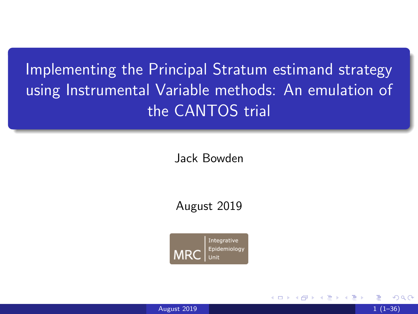<span id="page-0-0"></span>Implementing the Principal Stratum estimand strategy using Instrumental Variable methods: An emulation of the CANTOS trial

Jack Bowden

August 2019

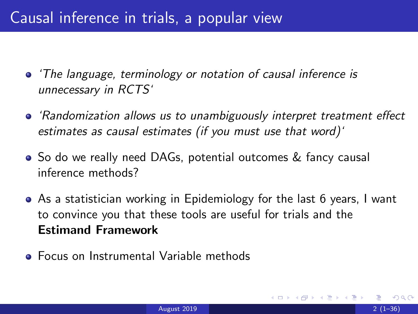## Causal inference in trials, a popular view

- 'The language, terminology or notation of causal inference is unnecessary in RCTS'
- 'Randomization allows us to unambiguously interpret treatment effect estimates as causal estimates (if you must use that word)'
- So do we really need DAGs, potential outcomes & fancy causal inference methods?
- As a statistician working in Epidemiology for the last 6 years, I want to convince you that these tools are useful for trials and the Estimand Framework
- Focus on Instrumental Variable methods

つひひ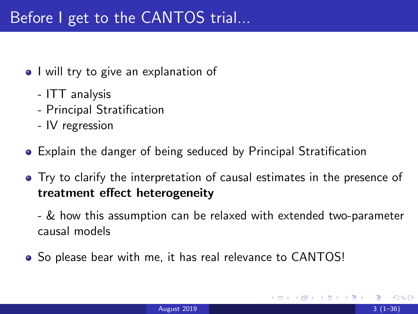- I will try to give an explanation of
	- ITT analysis
	- Principal Stratification
	- IV regression
- Explain the danger of being seduced by Principal Stratification
- Try to clarify the interpretation of causal estimates in the presence of treatment effect heterogeneity
	- & how this assumption can be relaxed with extended two-parameter causal models
- So please bear with me, it has real relevance to CANTOS!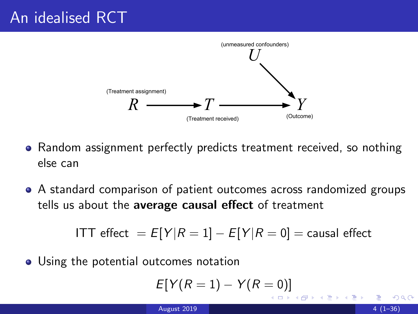

- Random assignment perfectly predicts treatment received, so nothing else can
- A standard comparison of patient outcomes across randomized groups tells us about the average causal effect of treatment

$$
ITT \text{ effect} = E[Y|R = 1] - E[Y|R = 0] = \text{causal effect}
$$

• Using the potential outcomes notation

$$
E[Y(R=1)-Y(R=0)]
$$

 $\leftarrow$   $\Box$ 

4 E X 4 E X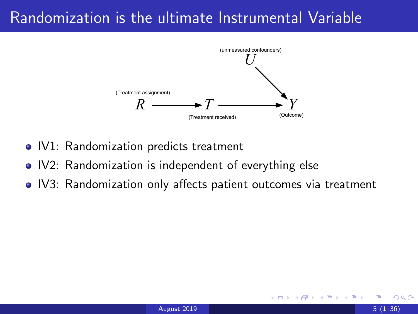### Randomization is the ultimate Instrumental Variable



- IV1: Randomization predicts treatment
- IV2: Randomization is independent of everything else
- IV3: Randomization only affects patient outcomes via treatment

14 E K 4 E K

∢ □ ▶ ⊣ *←* □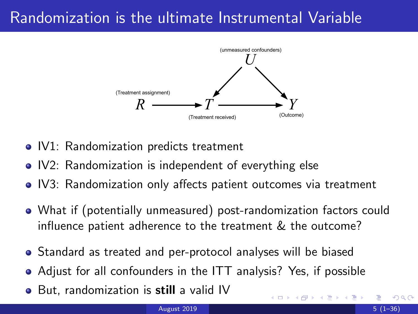## Randomization is the ultimate Instrumental Variable



- IV1: Randomization predicts treatment
- IV2: Randomization is independent of everything else
- IV3: Randomization only affects patient outcomes via treatment
- What if (potentially unmeasured) post-randomization factors could influence patient adherence to the treatment & the outcome?
- Standard as treated and per-protocol analyses will be biased
- Adjust for all confounders in the ITT analysis? Yes, if possible
- But, randomization is still a valid IV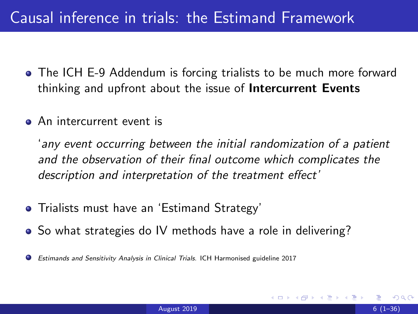## Causal inference in trials: the Estimand Framework

- The ICH E-9 Addendum is forcing trialists to be much more forward thinking and upfront about the issue of Intercurrent Events
- **•** An intercurrent event is

'any event occurring between the initial randomization of a patient and the observation of their final outcome which complicates the description and interpretation of the treatment effect'

- Trialists must have an 'Estimand Strategy'
- So what strategies do IV methods have a role in delivering?
- Estimands and Sensitivity Analysis in Clinical Trials. ICH Harmonised guideline 2017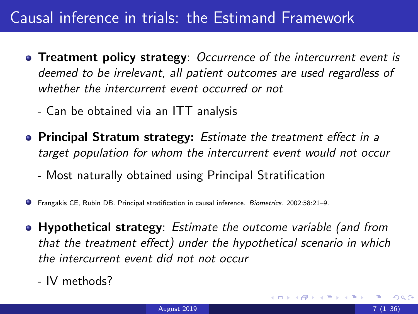## Causal inference in trials: the Estimand Framework

- Treatment policy strategy: Occurrence of the intercurrent event is deemed to be irrelevant, all patient outcomes are used regardless of whether the intercurrent event occurred or not
	- Can be obtained via an ITT analysis
- **Principal Stratum strategy:** Estimate the treatment effect in a target population for whom the intercurrent event would not occur
	- Most naturally obtained using Principal Stratification
- Frangakis CE, Rubin DB. Principal stratification in causal inference. Biometrics. 2002;58:21–9.
- Hypothetical strategy: Estimate the outcome variable (and from that the treatment effect) under the hypothetical scenario in which the intercurrent event did not not occur
	- IV methods?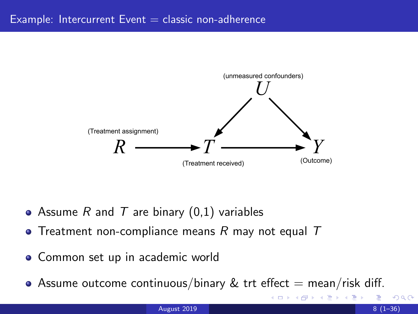

- Assume R and T are binary  $(0,1)$  variables
- Treatment non-compliance means R may not equal  $T$
- Common set up in academic world
- Assume outcome continuous/binary  $\&$  trt effect  $=$  mean/risk diff.

∢ ロ ▶ . ∢ 伺 ▶ . ∢ ヨ ▶ . ∢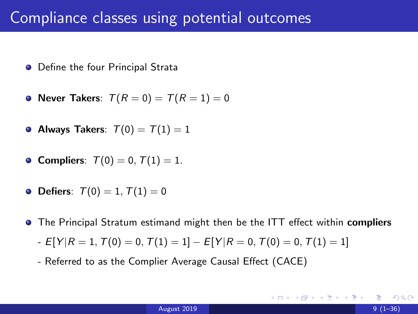#### Compliance classes using potential outcomes

- Define the four Principal Strata
- Never Takers:  $T(R = 0) = T(R = 1) = 0$
- Always Takers:  $T(0) = T(1) = 1$
- Compliers:  $T(0) = 0, T(1) = 1.$
- Defiers:  $T(0) = 1, T(1) = 0$
- **•** The Principal Stratum estimand might then be the ITT effect within compliers
	- $-E[Y|R=1, T(0)=0, T(1)=1]-E[Y|R=0, T(0)=0, T(1)=1]$
	- Referred to as the Complier Average Causal Effect (CACE)

 $\Omega$ 

**K ロ ト K 伺 ト K ヨ ト K ヨ ト**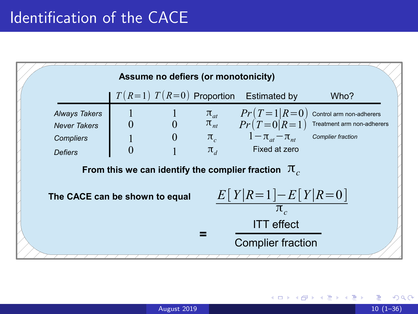

 $\Omega$ 

医毛囊 医牙骨下的

◂**◻▸ ◂◚▸**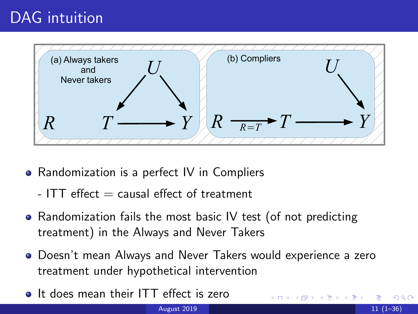## DAG intuition



- Randomization is a perfect IV in Compliers
	- $-$  ITT effect  $=$  causal effect of treatment
- Randomization fails the most basic IV test (of not predicting treatment) in the Always and Never Takers
- Doesn't mean Always and Never Takers would experience a zero treatment under hypothetical intervention
- **It does mean their ITT effect is zero**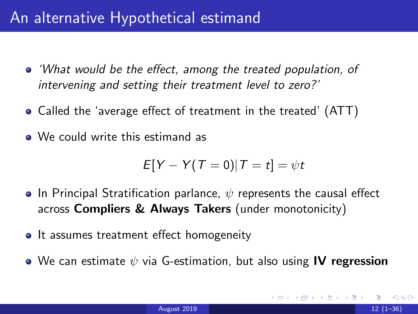#### <span id="page-12-0"></span>An alternative Hypothetical estimand

- 'What would be the effect, among the treated population, of intervening and setting their treatment level to zero?'
- Called the 'average effect of treatment in the treated' (ATT)
- We could write this estimand as

$$
E[Y - Y(T = 0)|T = t] = \psi t
$$

- **•** In Principal Stratification parlance,  $\psi$  represents the causal effect across **Compliers & Always Takers** (under monotonicity)
- It assumes treatment effect homogeneity
- We can estimate  $\psi$  via G-estimation, but also using IV regression

つひひ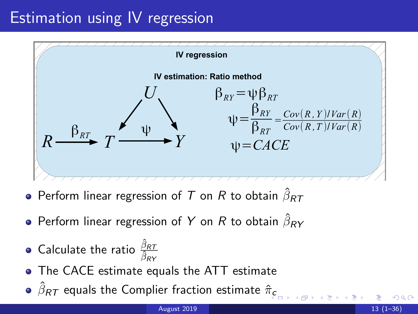### Estimation using IV regression



- Perform linear regression of  $\mathcal T$  on  $R$  to obtain  $\hat \beta_{\mathcal{R} \mathcal{T}}$
- Perform linear regression of  $Y$  on  $R$  to obtain  $\hat \beta_{\pmb{R}} \overline Y$
- Calculate the ratio  $\frac{\hat{\beta}_{RT}}{\hat{\beta}_{RY}}$
- $R$   $R$   $\overline{\beta_{\mathit{RY}}}$   $\overline{\beta_{\mathit{RY}}}$   $\overline{\beta_{\mathit{RY}}}$
- $\hat\beta_{\pmb{R}\pmb{\mathcal{T}}}$  $\hat\beta_{\pmb{R}\pmb{\mathcal{T}}}$  $\hat\beta_{\pmb{R}\pmb{\mathcal{T}}}$  equals the Complier fraction estimate  $\hat\pi_{\pmb{c}}$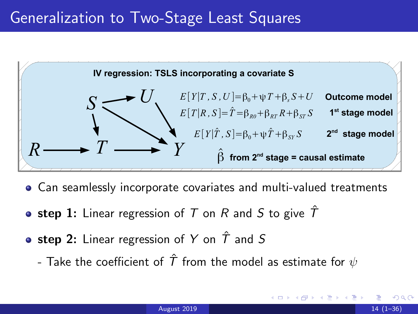

- Can seamlessly incorporate covariates and multi-valued treatments
- step 1: Linear regression of T on R and S to give  $\hat{T}$
- step 2: Linear regression of Y on  $\hat{T}$  and S
	- Take the coefficient of  $\hat{T}$  from the model as estimate for  $\psi$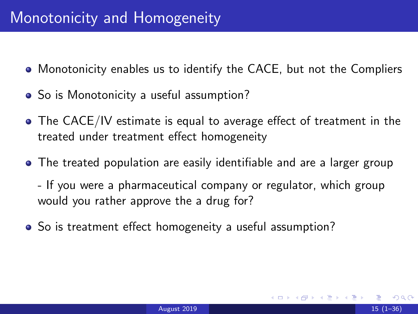- Monotonicity enables us to identify the CACE, but not the Compliers
- So is Monotonicity a useful assumption?
- The CACE/IV estimate is equal to average effect of treatment in the treated under treatment effect homogeneity
- The treated population are easily identifiable and are a larger group
	- If you were a pharmaceutical company or regulator, which group would you rather approve the a drug for?
- So is treatment effect homogeneity a useful assumption?

つひひ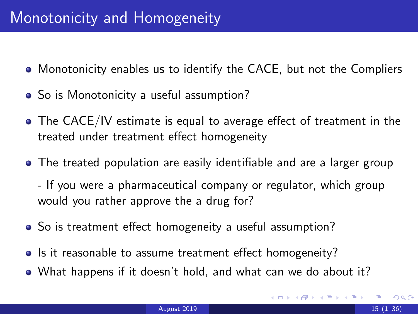- Monotonicity enables us to identify the CACE, but not the Compliers
- So is Monotonicity a useful assumption?
- The CACE/IV estimate is equal to average effect of treatment in the treated under treatment effect homogeneity
- The treated population are easily identifiable and are a larger group
	- If you were a pharmaceutical company or regulator, which group would you rather approve the a drug for?
- So is treatment effect homogeneity a useful assumption?
- Is it reasonable to assume treatment effect homogeneity?
- What happens if it doesn't hold, and what can we do about it?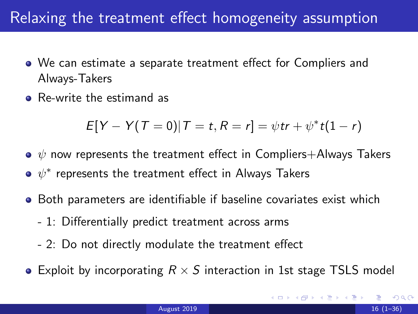### Relaxing the treatment effect homogeneity assumption

- We can estimate a separate treatment effect for Compliers and Always-Takers
- Re-write the estimand as

$$
E[Y - Y(T = 0)|T = t, R = r] = \psi tr + \psi^* t(1 - r)
$$

- $\bullet \psi$  now represents the treatment effect in Compliers+Always Takers
- $\psi^*$  represents the treatment effect in Always Takers
- **•** Both parameters are identifiable if baseline covariates exist which
	- 1: Differentially predict treatment across arms
	- 2: Do not directly modulate the treatment effect
- Exploit by incorporating  $R \times S$  interaction in 1st stage TSLS model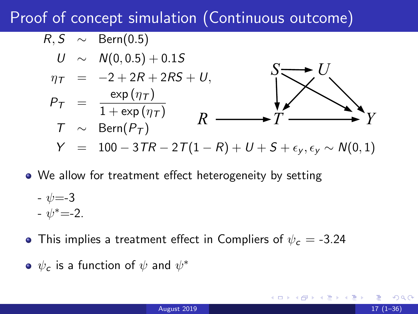## Proof of concept simulation (Continuous outcome)

$$
R, S \sim \text{Bern}(0.5)
$$
  
\n
$$
U \sim N(0, 0.5) + 0.15
$$
  
\n
$$
\eta_T = -2 + 2R + 2RS + U,
$$
  
\n
$$
P_T = \frac{\exp(\eta_T)}{1 + \exp(\eta_T)}
$$
  
\n
$$
T \sim \text{Bern}(P_T)
$$
  
\n
$$
Y = 100 - 3TR - 2T(1 - R) + U + S + \epsilon_y, \epsilon_y \sim N(0, 1)
$$

We allow for treatment effect heterogeneity by setting

$$
\begin{array}{l}\n\text{- } \psi = -3 \\
\text{- } \psi^* = -2\n\end{array}
$$

- This implies a treatment effect in Compliers of  $\psi_c = -3.24$
- $\psi_{\bm c}$  is a function of  $\psi$  and  $\psi^*$

つひひ

**K ロ ▶ K 御 ▶ K 君 ▶ K 君 ▶ │ 君**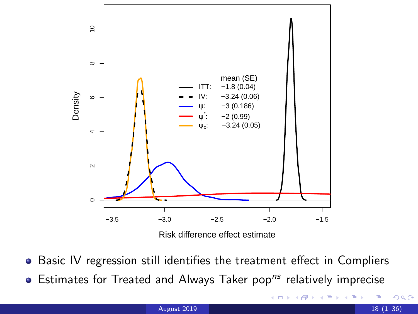

- Basic IV regression still identifies the treatment effect in Compliers
- $\bullet$  Estimates for Treated and Always Taker pop<sup>ns</sup> relatively imprecise

4 **D F** 

 $299$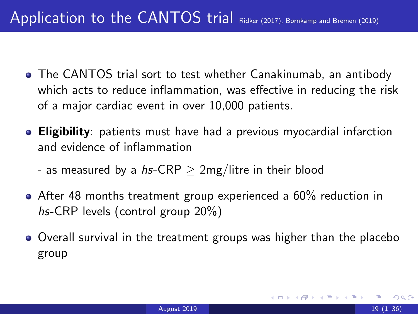- The CANTOS trial sort to test whether Canakinumab, an antibody which acts to reduce inflammation, was effective in reducing the risk of a major cardiac event in over 10,000 patients.
- **Eligibility**: patients must have had a previous myocardial infarction and evidence of inflammation
	- as measured by a hs-CRP  $>$  2mg/litre in their blood
- After 48 months treatment group experienced a 60% reduction in hs-CRP levels (control group 20%)
- Overall survival in the treatment groups was higher than the placebo group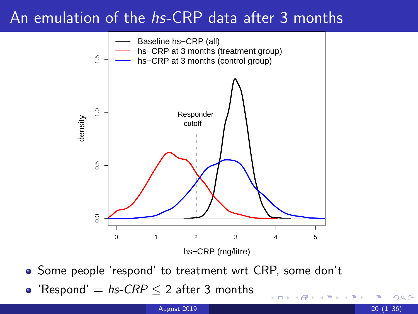### An emulation of the hs-CRP data after 3 months



• Some people 'respond' to treatment wrt CRP, some don't

4 0 F

 $\Omega$ 

• 'Respond'  $=$  hs-CRP  $\leq$  2 after 3 months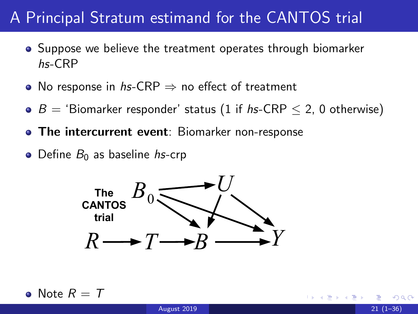## A Principal Stratum estimand for the CANTOS trial

- Suppose we believe the treatment operates through biomarker hs-CRP
- No response in hs-CRP  $\Rightarrow$  no effect of treatment
- $\bullet$  B = 'Biomarker responder' status (1 if hs-CRP  $\leq$  2, 0 otherwise)
- The intercurrent event: Biomarker non-response
- $\bullet$  Define  $B_0$  as baseline hs-crp



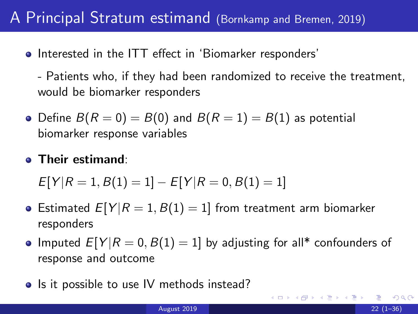#### <span id="page-23-0"></span>A Principal Stratum estimand (Bornkamp and Bremen, 2019)

- Interested in the ITT effect in 'Biomarker responders'
	- Patients who, if they had been randomized to receive the treatment, would be biomarker responders
- Define  $B(R = 0) = B(0)$  and  $B(R = 1) = B(1)$  as potential biomarker response variables
- **Their estimand:**

$$
E[Y|R = 1, B(1) = 1] - E[Y|R = 0, B(1) = 1]
$$

- Estimated  $E[Y | R = 1, B(1) = 1]$  from treatment arm biomarker responders
- Imputed  $E[Y | R = 0, B(1) = 1]$  by adjusting for all\* confounders of response and outcome
- Is it possible to use IV methods instead?

 $QQ$ 

イロト イ部 トイヨ トイヨト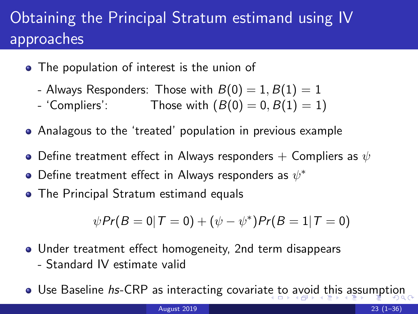# <span id="page-24-0"></span>Obtaining the Principal Stratum estimand using IV approaches

- The population of interest is the union of
	- Always Responders: Those with  $B(0) = 1, B(1) = 1$
	- 'Compliers': Those with  $(B(0) = 0, B(1) = 1)$
- Analagous to the 'treated' population in previous example
- $\bullet$  Define treatment effect in Always responders  $+$  Compliers as  $\psi$
- Define treatment effect in Always responders as  $\psi^*$
- The Principal Stratum estimand equals

$$
\psi Pr(B=0|T=0) + (\psi - \psi^*) Pr(B=1|T=0)
$$

- Under treatment effect homogeneity, 2nd term disappears - Standard IV estimate valid
- Use Baseline hs-CRP as in[te](#page-23-0)racting covariate t[o](#page-25-0) [a](#page-23-0)[vo](#page-24-0)[id](#page-25-0) [t](#page-0-0)[his](#page-35-0) [a](#page-0-0)[ssu](#page-35-0)[m](#page-0-0)[pti](#page-35-0)on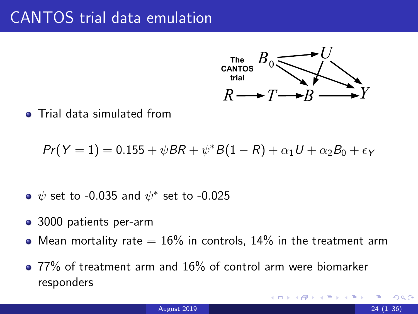

<span id="page-25-0"></span>**•** Trial data simulated from

 $Pr(Y = 1) = 0.155 + \psi BR + \psi^* B (1 - R) + \alpha_1 U + \alpha_2 B_0 + \epsilon_Y$ 

- $\psi$  set to -0.035 and  $\psi^*$  set to -0.025
- 3000 patients per-arm
- Mean mortality rate  $= 16\%$  in controls, 14% in the treatment arm
- 77% of treatment arm and 16% of control arm were biomarker responders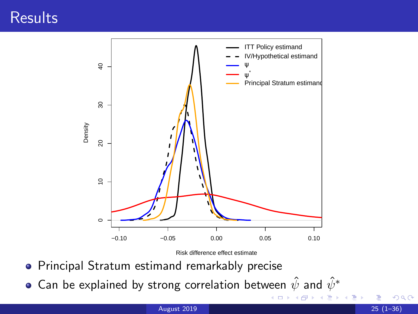#### <span id="page-26-0"></span>**Results**



Risk difference effect estimate

4 日下 ∢母

- Principal Stratum estimand remarkably precise
- Can be explained by strong correlation between  $\hat{\psi}$  and  $\hat{\psi}^*$

Þ

 $299$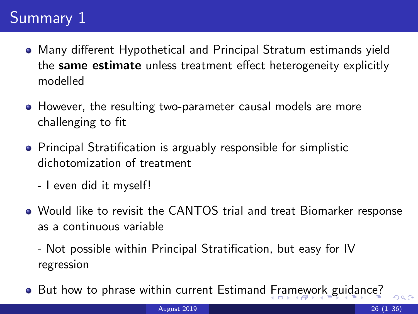# <span id="page-27-0"></span>Summary 1

- Many different Hypothetical and Principal Stratum estimands yield the same estimate unless treatment effect heterogeneity explicitly modelled
- However, the resulting two-parameter causal models are more challenging to fit
- Principal Stratification is arguably responsible for simplistic dichotomization of treatment
	- I even did it myself!
- Would like to revisit the CANTOS trial and treat Biomarker response as a continuous variable

- Not possible within Principal Stratification, but easy for IV regression

• But how to phrase within current Estimand [F](#page-26-0)r[am](#page-28-0)[ew](#page-27-0)[o](#page-28-0)[rk](#page-0-0) [gu](#page-35-0)[id](#page-0-0)[an](#page-35-0)[ce](#page-0-0)[?](#page-35-0)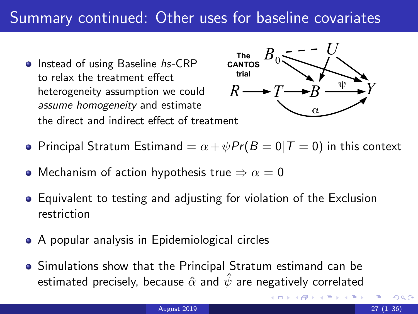#### <span id="page-28-0"></span>Summary continued: Other uses for baseline covariates

• Instead of using Baseline hs-CRP to relax the treatment effect heterogeneity assumption we could assume homogeneity and estimate the direct and indirect effect of treatment



- Principal Stratum Estimand  $= \alpha + \psi Pr(B = 0 | T = 0)$  in this context
- Mechanism of action hypothesis true  $\Rightarrow \alpha = 0$
- Equivalent to testing and adjusting for violation of the Exclusion restriction
- A popular analysis in Epidemiological circles
- Simulations show that the Principal Stratum estimand can be estimated precisely, because  $\hat{\alpha}$  and  $\hat{\psi}$  are negatively correlated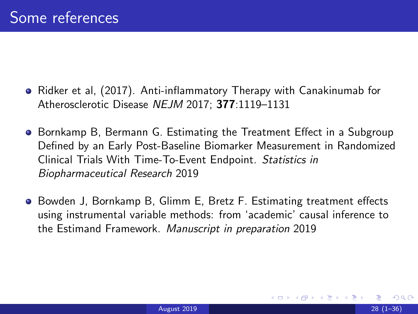- Ridker et al, (2017). Anti-inflammatory Therapy with Canakinumab for Atherosclerotic Disease NEJM 2017; 377:1119–1131
- **Bornkamp B, Bermann G. Estimating the Treatment Effect in a Subgroup** Defined by an Early Post-Baseline Biomarker Measurement in Randomized Clinical Trials With Time-To-Event Endpoint. Statistics in Biopharmaceutical Research 2019
- **•** Bowden J, Bornkamp B, Glimm E, Bretz F. Estimating treatment effects using instrumental variable methods: from 'academic' causal inference to the Estimand Framework. Manuscript in preparation 2019

つひひ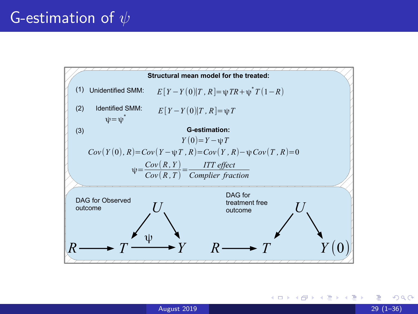

 $QQ$ 

э

**≮ロト ⊀母 ト ≮ ヨ ト ⊀ ヨ ト**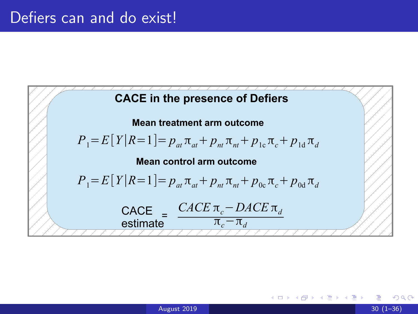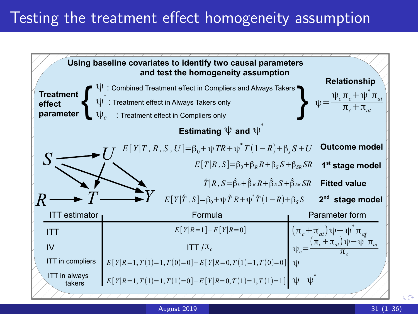### Testing the treatment effect homogeneity assumption



August 2019 31 (1–36)

 $\sqrt{2}$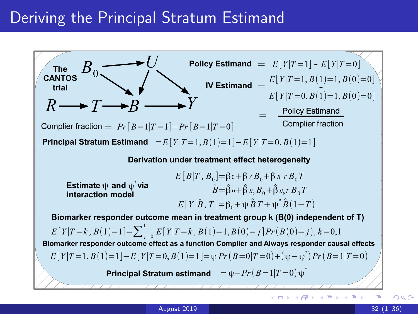#### Deriving the Principal Stratum Estimand

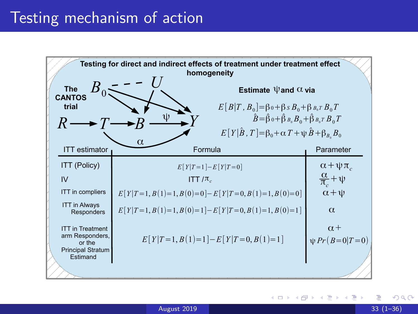

 $\Omega$ 

イロト イ押ト イヨト イヨト